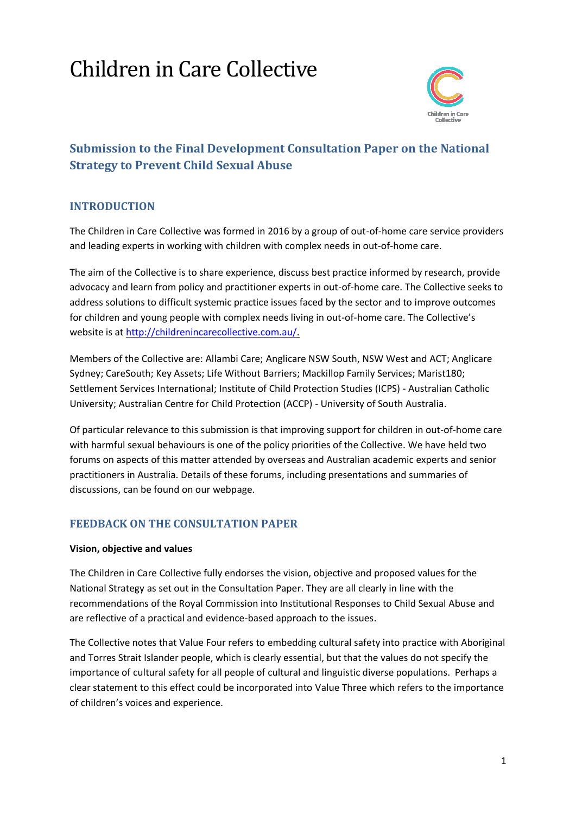# Children in Care Collective



# **Submission to the Final Development Consultation Paper on the National Strategy to Prevent Child Sexual Abuse**

# **INTRODUCTION**

The Children in Care Collective was formed in 2016 by a group of out-of-home care service providers and leading experts in working with children with complex needs in out-of-home care.

The aim of the Collective is to share experience, discuss best practice informed by research, provide advocacy and learn from policy and practitioner experts in out-of-home care. The Collective seeks to address solutions to difficult systemic practice issues faced by the sector and to improve outcomes for children and young people with complex needs living in out-of-home care. The Collective's website is at [http://childrenincarecollective.com.au/.](http://childrenincarecollective.com.au/)

Members of the Collective are: Allambi Care; Anglicare NSW South, NSW West and ACT; Anglicare Sydney; CareSouth; Key Assets; Life Without Barriers; Mackillop Family Services; Marist180; Settlement Services International; Institute of Child Protection Studies (ICPS) - Australian Catholic University; Australian Centre for Child Protection (ACCP) - University of South Australia.

Of particular relevance to this submission is that improving support for children in out-of-home care with harmful sexual behaviours is one of the policy priorities of the Collective. We have held two forums on aspects of this matter attended by overseas and Australian academic experts and senior practitioners in Australia. Details of these forums, including presentations and summaries of discussions, can be found on our webpage.

# **FEEDBACK ON THE CONSULTATION PAPER**

#### **Vision, objective and values**

The Children in Care Collective fully endorses the vision, objective and proposed values for the National Strategy as set out in the Consultation Paper. They are all clearly in line with the recommendations of the Royal Commission into Institutional Responses to Child Sexual Abuse and are reflective of a practical and evidence-based approach to the issues.

The Collective notes that Value Four refers to embedding cultural safety into practice with Aboriginal and Torres Strait Islander people, which is clearly essential, but that the values do not specify the importance of cultural safety for all people of cultural and linguistic diverse populations. Perhaps a clear statement to this effect could be incorporated into Value Three which refers to the importance of children's voices and experience.